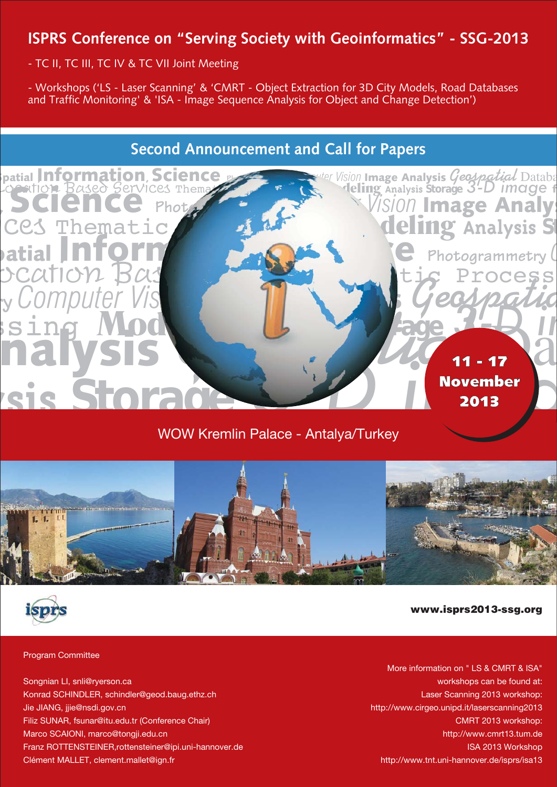- TC II, TC III, TC IV & TC VII Joint Meeting

- Workshops ('LS - Laser Scanning' & 'CMRT - Object Extraction for 3D City Models, Road Databases and Traffic Monitoring' & 'ISA - Image Sequence Analysis for Object and Change Detection')

# **Second Announcement and Call for Papers**



# WOW Kremlin Palace - Antalya/Turkey



## www.isprs2013-ssg.org

#### Program Committee

Songnian LI, snli@ryerson.ca Konrad SCHINDLER, schindler@geod.baug.ethz.ch Jie JIANG, jjie@nsdi.gov.cn Filiz SUNAR, fsunar@itu.edu.tr (Conference Chair) Marco SCAIONI, marco@tongji.edu.cn Franz ROTTENSTEINER,rottensteiner@ipi.uni-hannover.de Clément MALLET, clement.mallet@ign.fr

More information on " LS & CMRT & ISA" workshops can be found at: Laser Scanning 2013 workshop: http://www.cirgeo.unipd.it/laserscanning2013 CMRT 2013 workshop: http://www.cmrt13.tum.de ISA 2013 Workshop http://www.tnt.uni-hannover.de/isprs/isa13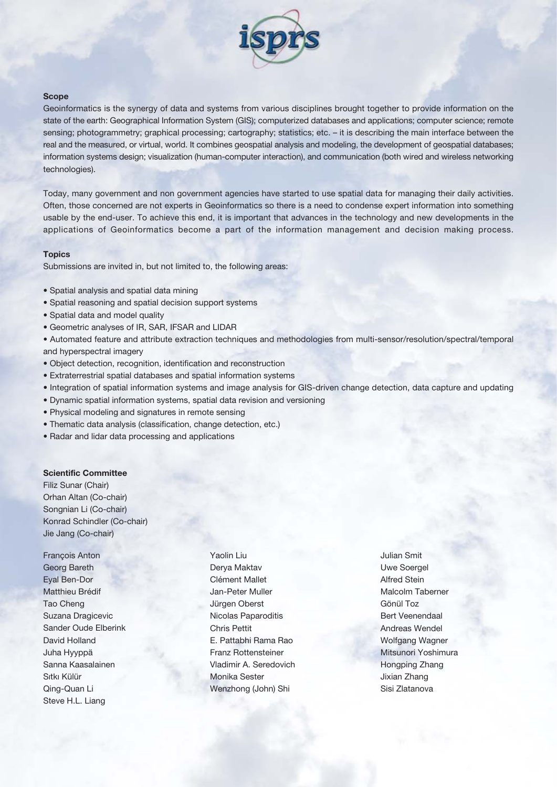

#### **Scope**

Geoinformatics is the synergy of data and systems from various disciplines brought together to provide information on the state of the earth: Geographical Information System (GIS); computerized databases and applications; computer science; remote sensing; photogrammetry; graphical processing; cartography; statistics; etc. – it is describing the main interface between the real and the measured, or virtual, world. It combines geospatial analysis and modeling, the development of geospatial databases; information systems design; visualization (human-computer interaction), and communication (both wired and wireless networking technologies).

Today, many government and non government agencies have started to use spatial data for managing their daily activities. Often, those concerned are not experts in Geoinformatics so there is a need to condense expert information into something usable by the end-user. To achieve this end, it is important that advances in the technology and new developments in the applications of Geoinformatics become a part of the information management and decision making process.

#### **Topics**

Submissions are invited in, but not limited to, the following areas:

- Spatial analysis and spatial data mining
- Spatial reasoning and spatial decision support systems
- Spatial data and model quality
- Geometric analyses of IR, SAR, IFSAR and LIDAR

• Automated feature and attribute extraction techniques and methodologies from multi-sensor/resolution/spectral/temporal and hyperspectral imagery

- Object detection, recognition, identification and reconstruction
- Extraterrestrial spatial databases and spatial information systems
- Integration of spatial information systems and image analysis for GIS-driven change detection, data capture and updating
- Dynamic spatial information systems, spatial data revision and versioning
- Physical modeling and signatures in remote sensing
- Thematic data analysis (classification, change detection, etc.)
- Radar and lidar data processing and applications

#### **Scientific Committee**

Filiz Sunar (Chair) Orhan Altan (Co-chair) Songnian Li (Co-chair) Konrad Schindler (Co-chair) Jie Jang (Co-chair)

François Anton Georg Bareth Eyal Ben-Dor Matthieu Brédif Tao Cheng Suzana Dragicevic Sander Oude Elberink David Holland Juha Hyyppä Sanna Kaasalainen Sıtkı Külür Qing-Quan Li Steve H.L. Liang

Yaolin Liu Derya Maktav Clément Mallet Jan-Peter Muller Jürgen Oberst Nicolas Paparoditis Chris Pettit E. Pattabhi Rama Rao Franz Rottensteiner Vladimir A. Seredovich Monika Sester Wenzhong (John) Shi

Julian Smit Uwe Soergel Alfred Stein Malcolm Taberner Gönül Toz Bert Veenendaal Andreas Wendel Wolfgang Wagner Mitsunori Yoshimura Hongping Zhang Jixian Zhang Sisi Zlatanova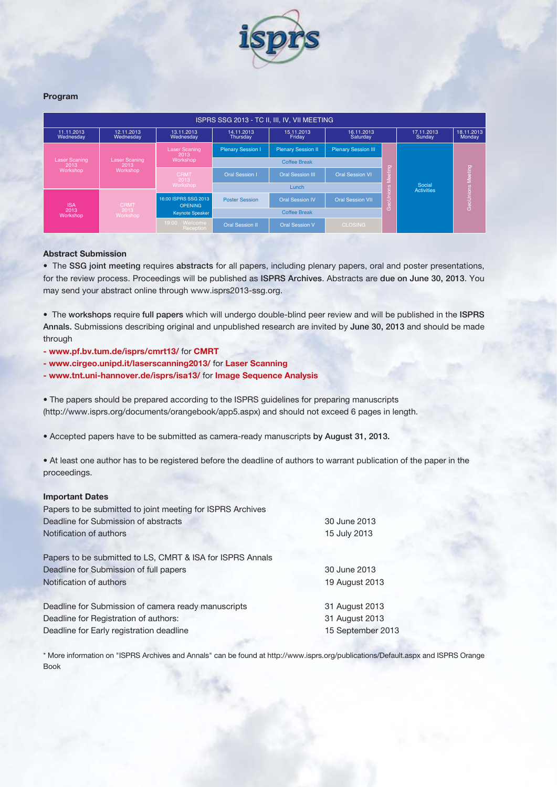

#### **Program**

| ISPRS SSG 2013 - TC II, III, IV, VII MEETING                               |                                                                             |                                          |                            |                           |                            |                             |                      |                      |
|----------------------------------------------------------------------------|-----------------------------------------------------------------------------|------------------------------------------|----------------------------|---------------------------|----------------------------|-----------------------------|----------------------|----------------------|
| 11.11.2013<br>Wednesday                                                    | 12.11.2013<br>Wednesday                                                     | 13.11.2013<br>Wednesday                  | 14.11.2013<br>Thursday     | 15.11.2013<br>Friday      | 16.11.2013<br>Saturday     |                             | 17.11.2013<br>Sunday | 18.11.2013<br>Monday |
| <b>Laser Scaning</b><br>2013<br>Workshop<br><b>ISA</b><br>2013<br>Workshop | <b>Laser Scaning</b><br>2013<br>Workshop<br><b>CRMT</b><br>2013<br>Workshop | <b>Laser Scaning</b><br>2013<br>Workshop | <b>Plenary Session I</b>   | <b>Plenary Session II</b> | <b>Plenary Session III</b> |                             |                      |                      |
|                                                                            |                                                                             |                                          | <b>Coffee Break</b>        |                           |                            |                             |                      |                      |
|                                                                            |                                                                             | <b>CRMT</b><br>2013                      | <b>Oral Session I</b>      | <b>Oral Session III</b>   | <b>Oral Session VI</b>     | eting<br>៖                  |                      |                      |
|                                                                            |                                                                             | Workshop                                 | Lunch                      |                           |                            | Social<br><b>Activities</b> |                      |                      |
|                                                                            |                                                                             | 16:00 ISPRS SSG 2013<br><b>OPENING</b>   | <b>Poster Session</b>      | <b>Oral Session IV</b>    | <b>Oral Session VII</b>    | aUnion                      |                      | Geo Unions Meeting   |
|                                                                            |                                                                             | <b>Keynote Speaker</b>                   | <b>Coffee Break</b>        |                           | Ō                          |                             |                      |                      |
|                                                                            |                                                                             |                                          | 19:00 Welcome<br>Reception | <b>Oral Session II</b>    | <b>Oral Session V</b>      | <b>CLOSING</b>              |                      |                      |

#### **Abstract Submission**

• The SSG joint meeting requires abstracts for all papers, including plenary papers, oral and poster presentations, for the review process. Proceedings will be published as ISPRS Archives. Abstracts are due on June 30, 2013. You may send your abstract online through www.isprs2013-ssg.org.

• The workshops require full papers which will undergo double-blind peer review and will be published in the ISPRS Annals. Submissions describing original and unpublished research are invited by June 30, 2013 and should be made through

- **www.pf.bv.tum.de/isprs/cmrt13/** for **CMRT**
- **www.cirgeo.unipd.it/laserscanning2013/** for **Laser Scanning**
- **www.tnt.uni-hannover.de/isprs/isa13/** for **Image Sequence Analysis**

• The papers should be prepared according to the ISPRS guidelines for preparing manuscripts (http://www.isprs.org/documents/orangebook/app5.aspx) and should not exceed 6 pages in length.

• Accepted papers have to be submitted as camera-ready manuscripts by August 31, 2013.

• At least one author has to be registered before the deadline of authors to warrant publication of the paper in the proceedings.

#### **Important Dates**

| Papers to be submitted to joint meeting for ISPRS Archives |                   |
|------------------------------------------------------------|-------------------|
| Deadline for Submission of abstracts                       | 30 June 2013      |
| Notification of authors                                    | 15 July 2013      |
| Papers to be submitted to LS, CMRT & ISA for ISPRS Annals  |                   |
| Deadline for Submission of full papers                     | 30 June 2013      |
| Notification of authors                                    | 19 August 2013    |
| Deadline for Submission of camera ready manuscripts        | 31 August 2013    |
| Deadline for Registration of authors:                      | 31 August 2013    |
| Deadline for Early registration deadline                   | 15 September 2013 |

\* More information on "ISPRS Archives and Annals" can be found at http://www.isprs.org/publications/Default.aspx and ISPRS Orange Book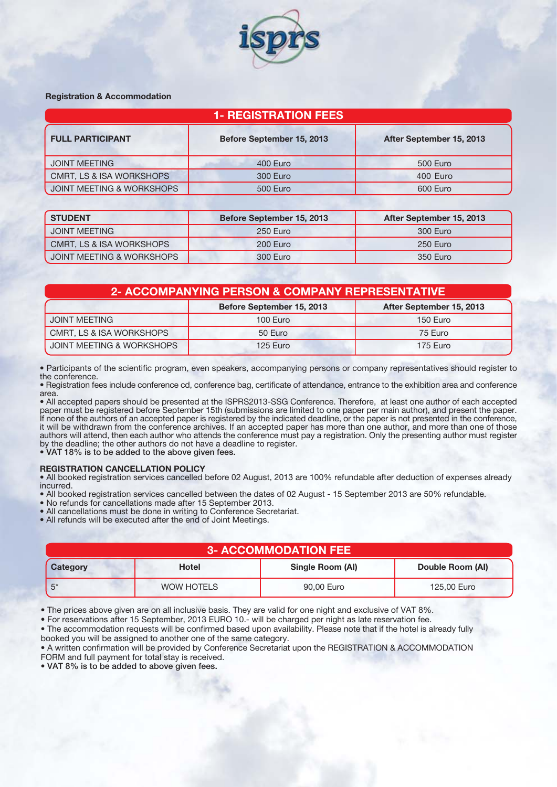

#### **Registration & Accommodation**

| 1- REGISTRATION FEES                 |                           |                          |  |
|--------------------------------------|---------------------------|--------------------------|--|
| <b>FULL PARTICIPANT</b>              | Before September 15, 2013 | After September 15, 2013 |  |
| <b>JOINT MEETING</b>                 | 400 Euro                  | 500 Euro                 |  |
| CMRT, LS & ISA WORKSHOPS             | 300 Euro                  | 400 Euro                 |  |
| <b>JOINT MEETING &amp; WORKSHOPS</b> | <b>500 Euro</b>           | 600 Euro                 |  |

| <b>STUDENT</b>            | Before September 15, 2013 | After September 15, 2013 |
|---------------------------|---------------------------|--------------------------|
| <b>JOINT MEETING</b>      | 250 Euro                  | 300 Euro                 |
| CMRT, LS & ISA WORKSHOPS  | 200 Euro                  | 250 Euro                 |
| JOINT MEETING & WORKSHOPS | 300 Euro                  | 350 Euro                 |

| 2- ACCOMPANYING PERSON & COMPANY REPRESENTATIVE |                           |                          |  |  |
|-------------------------------------------------|---------------------------|--------------------------|--|--|
|                                                 | Before September 15, 2013 | After September 15, 2013 |  |  |
| <b>JOINT MEETING</b>                            | 100 Euro                  | 150 Euro                 |  |  |
| CMRT, LS & ISA WORKSHOPS                        | 50 Euro                   | 75 Euro                  |  |  |
| JOINT MEETING & WORKSHOPS                       | 125 Euro                  | 175 Euro                 |  |  |

• Participants of the scientific program, even speakers, accompanying persons or company representatives should register to the conference.

• Registration fees include conference cd, conference bag, certificate of attendance, entrance to the exhibition area and conference area.

• All accepted papers should be presented at the ISPRS2013-SSG Conference. Therefore, at least one author of each accepted paper must be registered before September 15th (submissions are limited to one paper per main author), and present the paper. If none of the authors of an accepted paper is registered by the indicated deadline, or the paper is not presented in the conference, it will be withdrawn from the conference archives. If an accepted paper has more than one author, and more than one of those authors will attend, then each author who attends the conference must pay a registration. Only the presenting author must register by the deadline; the other authors do not have a deadline to register.

• VAT 18% is to be added to the above given fees.

#### **REGISTRATION CANCELLATION POLICY**

• All booked registration services cancelled before 02 August, 2013 are 100% refundable after deduction of expenses already incurred.

• All booked registration services cancelled between the dates of 02 August - 15 September 2013 are 50% refundable.

• No refunds for cancellations made after 15 September 2013.

• All cancellations must be done in writing to Conference Secretariat.

• All refunds will be executed after the end of Joint Meetings.

| <b>3- ACCOMMODATION FEE</b> |              |                  |                  |  |
|-----------------------------|--------------|------------------|------------------|--|
| Category                    | <b>Hotel</b> | Single Room (AI) | Double Room (AI) |  |
| $5*$                        | WOW HOTELS   | 90,00 Euro       | 125,00 Euro      |  |

• The prices above given are on all inclusive basis. They are valid for one night and exclusive of VAT 8%.

• For reservations after 15 September, 2013 EURO 10.- will be charged per night as late reservation fee.

• The accommodation requests will be confirmed based upon availability. Please note that if the hotel is already fully booked you will be assigned to another one of the same category.

• A written confirmation will be provided by Conference Secretariat upon the REGISTRATION & ACCOMMODATION FORM and full payment for total stay is received.

• VAT 8% is to be added to above given fees.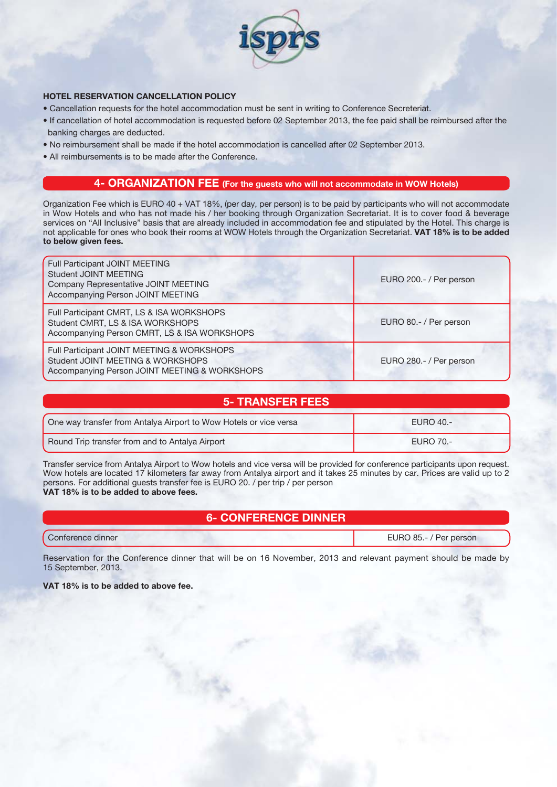

### **HOTEL RESERVATION CANCELLATION POLICY**

- Cancellation requests for the hotel accommodation must be sent in writing to Conference Secreteriat.
- If cancellation of hotel accommodation is requested before 02 September 2013, the fee paid shall be reimbursed after the banking charges are deducted.
- No reimbursement shall be made if the hotel accommodation is cancelled after 02 September 2013.
- All reimbursements is to be made after the Conference.

# **4- ORGANIZATION FEE (For the guests who will not accommodate in WOW Hotels)**

Organization Fee which is EURO 40 + VAT 18%, (per day, per person) is to be paid by participants who will not accommodate in Wow Hotels and who has not made his / her booking through Organization Secretariat. It is to cover food & beverage services on "All Inclusive" basis that are already included in accommodation fee and stipulated by the Hotel. This charge is not applicable for ones who book their rooms at WOW Hotels through the Organization Secretariat. **VAT 18% is to be added to below given fees.**

| Full Participant JOINT MEETING<br><b>Student JOINT MEETING</b><br>Company Representative JOINT MEETING<br>Accompanying Person JOINT MEETING | EURO 200.- / Per person |
|---------------------------------------------------------------------------------------------------------------------------------------------|-------------------------|
| Full Participant CMRT, LS & ISA WORKSHOPS<br>Student CMRT, LS & ISA WORKSHOPS<br>Accompanying Person CMRT, LS & ISA WORKSHOPS               | EURO 80.- / Per person  |
| Full Participant JOINT MEETING & WORKSHOPS<br>Student JOINT MEETING & WORKSHOPS<br>Accompanying Person JOINT MEETING & WORKSHOPS            | EURO 280.- / Per person |

## **5- TRANSFER FEES**

| One way transfer from Antalya Airport to Wow Hotels or vice versa | <b>EURO 40.-</b> |
|-------------------------------------------------------------------|------------------|
| Round Trip transfer from and to Antalya Airport                   | EURO 70.-        |

Transfer service from Antalya Airport to Wow hotels and vice versa will be provided for conference participants upon request. Wow hotels are located 17 kilometers far away from Antalya airport and it takes 25 minutes by car. Prices are valid up to 2 persons. For additional guests transfer fee is EURO 20. / per trip / per person **VAT 18% is to be added to above fees.**

# **6- CONFERENCE DINNER**

Conference dinner EURO 85.- / Per person

Reservation for the Conference dinner that will be on 16 November, 2013 and relevant payment should be made by 15 September, 2013.

**VAT 18% is to be added to above fee.**